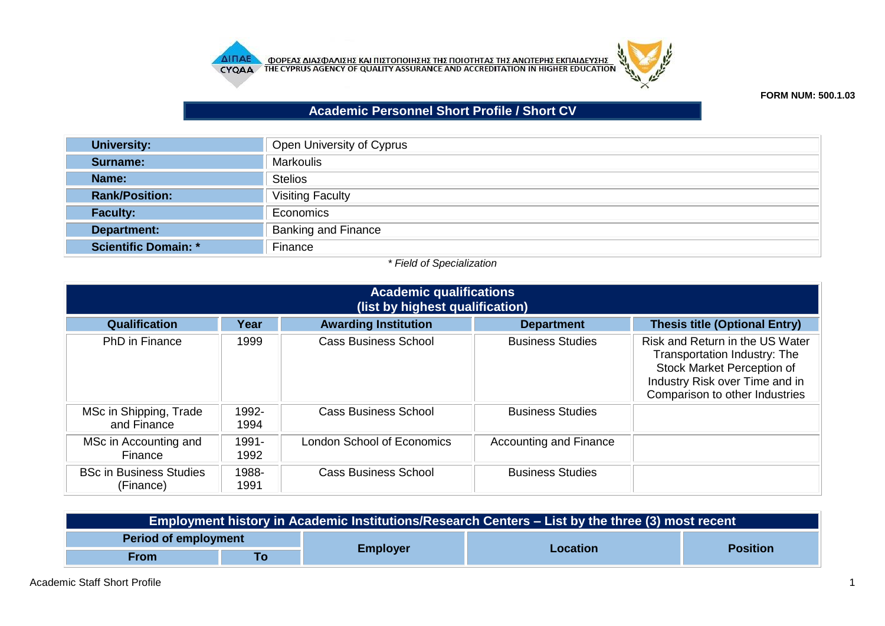



## **FORM NUM: 500.1.03**

## **Academic Personnel Short Profile / Short CV**

| <b>University:</b>          | Open University of Cyprus  |
|-----------------------------|----------------------------|
| Surname:                    | <b>Markoulis</b>           |
| Name:                       | <b>Stelios</b>             |
| <b>Rank/Position:</b>       | <b>Visiting Faculty</b>    |
| <b>Faculty:</b>             | Economics                  |
| <b>Department:</b>          | <b>Banking and Finance</b> |
| <b>Scientific Domain: *</b> | Finance                    |

## *\* Field of Specialization*

| <b>Academic qualifications</b><br>(list by highest qualification) |               |                             |                         |                                                                                                                                                                   |
|-------------------------------------------------------------------|---------------|-----------------------------|-------------------------|-------------------------------------------------------------------------------------------------------------------------------------------------------------------|
| <b>Qualification</b>                                              | Year          | <b>Awarding Institution</b> | <b>Department</b>       | <b>Thesis title (Optional Entry)</b>                                                                                                                              |
| <b>PhD</b> in Finance                                             | 1999          | <b>Cass Business School</b> | <b>Business Studies</b> | Risk and Return in the US Water<br>Transportation Industry: The<br>Stock Market Perception of<br>Industry Risk over Time and in<br>Comparison to other Industries |
| MSc in Shipping, Trade<br>and Finance                             | 1992-<br>1994 | <b>Cass Business School</b> | <b>Business Studies</b> |                                                                                                                                                                   |
| MSc in Accounting and<br>Finance                                  | 1991-<br>1992 | London School of Economics  | Accounting and Finance  |                                                                                                                                                                   |
| <b>BSc in Business Studies</b><br>(Finance)                       | 1988-<br>1991 | <b>Cass Business School</b> | <b>Business Studies</b> |                                                                                                                                                                   |

| Employment history in Academic Institutions/Research Centers – List by the three (3) most recent |    |                 |                 |                 |  |
|--------------------------------------------------------------------------------------------------|----|-----------------|-----------------|-----------------|--|
| <b>Period of employment</b>                                                                      |    |                 |                 |                 |  |
| From                                                                                             | To | <b>Employer</b> | <b>Location</b> | <b>Position</b> |  |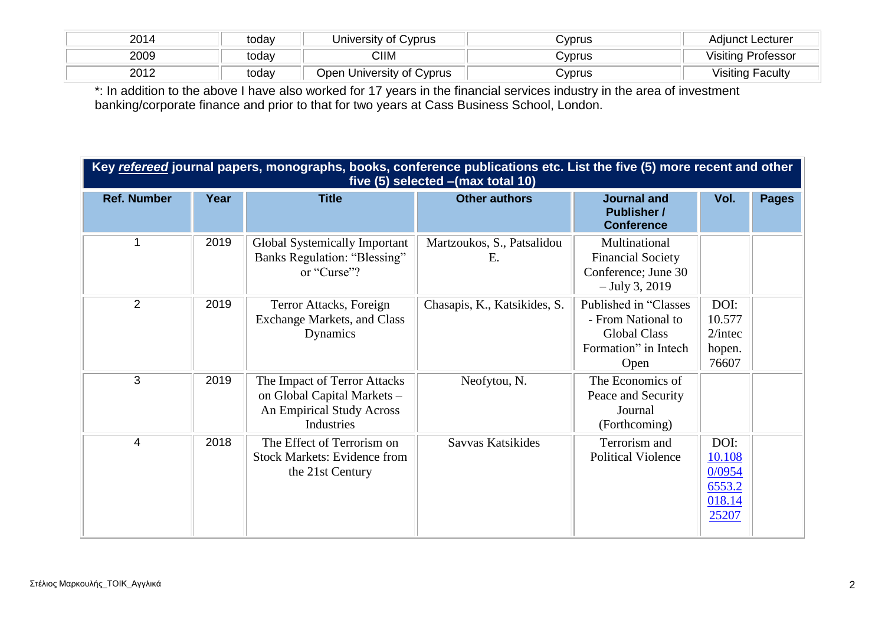| 2014 | today | University of Cyprus           | .∨prus | Adiunct Lecturer        |
|------|-------|--------------------------------|--------|-------------------------|
| 2009 | todav | CIIM                           | C∨prus | Visiting Professor      |
| 2012 | today | University of Cyprus<br>⊃pen ' | .Vprus | <b>Visiting Faculty</b> |

\*: In addition to the above I have also worked for 17 years in the financial services industry in the area of investment banking/corporate finance and prior to that for two years at Cass Business School, London.

|                    | Key refereed journal papers, monographs, books, conference publications etc. List the five (5) more recent and other<br>five (5) selected - (max total 10) |                                                                                                        |                                  |                                                                                                    |                                                       |              |
|--------------------|------------------------------------------------------------------------------------------------------------------------------------------------------------|--------------------------------------------------------------------------------------------------------|----------------------------------|----------------------------------------------------------------------------------------------------|-------------------------------------------------------|--------------|
| <b>Ref. Number</b> | Year                                                                                                                                                       | <b>Title</b>                                                                                           | <b>Other authors</b>             | <b>Journal and</b><br><b>Publisher /</b><br><b>Conference</b>                                      | Vol.                                                  | <b>Pages</b> |
| 1                  | 2019                                                                                                                                                       | Global Systemically Important<br>Banks Regulation: "Blessing"<br>or "Curse"?                           | Martzoukos, S., Patsalidou<br>Ε. | Multinational<br><b>Financial Society</b><br>Conference; June 30<br>$-$ July 3, 2019               |                                                       |              |
| 2                  | 2019                                                                                                                                                       | Terror Attacks, Foreign<br>Exchange Markets, and Class<br>Dynamics                                     | Chasapis, K., Katsikides, S.     | Published in "Classes<br>- From National to<br><b>Global Class</b><br>Formation" in Intech<br>Open | DOI:<br>10.577<br>$2/$ intec<br>hopen.<br>76607       |              |
| 3                  | 2019                                                                                                                                                       | The Impact of Terror Attacks<br>on Global Capital Markets -<br>An Empirical Study Across<br>Industries | Neofytou, N.                     | The Economics of<br>Peace and Security<br>Journal<br>(Forthcoming)                                 |                                                       |              |
| $\overline{4}$     | 2018                                                                                                                                                       | The Effect of Terrorism on<br><b>Stock Markets: Evidence from</b><br>the 21st Century                  | Savvas Katsikides                | Terrorism and<br><b>Political Violence</b>                                                         | DOI:<br>10.108<br>0/0954<br>6553.2<br>018.14<br>25207 |              |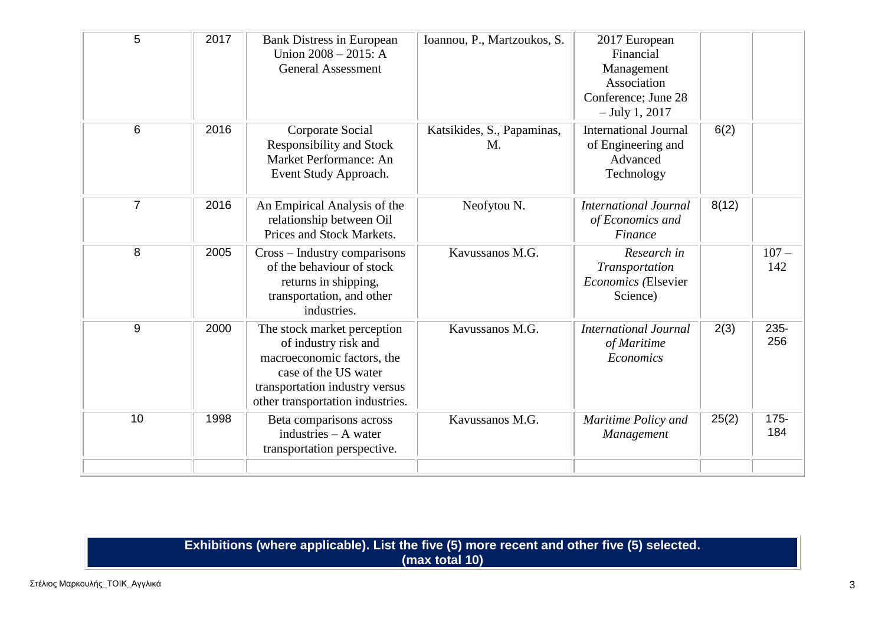| 5              | 2017 | <b>Bank Distress in European</b><br>Union $2008 - 2015$ : A<br><b>General Assessment</b>                                                                                        | Ioannou, P., Martzoukos, S.      | 2017 European<br>Financial<br>Management<br>Association<br>Conference; June 28<br>$-$ July 1, 2017 |       |                |
|----------------|------|---------------------------------------------------------------------------------------------------------------------------------------------------------------------------------|----------------------------------|----------------------------------------------------------------------------------------------------|-------|----------------|
| $6\phantom{1}$ | 2016 | Corporate Social<br><b>Responsibility and Stock</b><br>Market Performance: An<br>Event Study Approach.                                                                          | Katsikides, S., Papaminas,<br>M. | <b>International Journal</b><br>of Engineering and<br>Advanced<br>Technology                       | 6(2)  |                |
| $\overline{7}$ | 2016 | An Empirical Analysis of the<br>relationship between Oil<br>Prices and Stock Markets.                                                                                           | Neofytou N.                      | <b>International Journal</b><br>of Economics and<br>Finance                                        | 8(12) |                |
| 8              | 2005 | Cross – Industry comparisons<br>of the behaviour of stock<br>returns in shipping,<br>transportation, and other<br>industries.                                                   | Kavussanos M.G.                  | Research in<br>Transportation<br>Economics (Elsevier<br>Science)                                   |       | $107 -$<br>142 |
| 9              | 2000 | The stock market perception<br>of industry risk and<br>macroeconomic factors, the<br>case of the US water<br>transportation industry versus<br>other transportation industries. | Kavussanos M.G.                  | <b>International Journal</b><br>of Maritime<br>Economics                                           | 2(3)  | 235-<br>256    |
| 10             | 1998 | Beta comparisons across<br>industries $- A$ water<br>transportation perspective.                                                                                                | Kavussanos M.G.                  | Maritime Policy and<br>Management                                                                  | 25(2) | $175 -$<br>184 |

| Exhibitions (where applicable). List the five (5) more recent and other five (5) selected. |
|--------------------------------------------------------------------------------------------|
| (max total 10)                                                                             |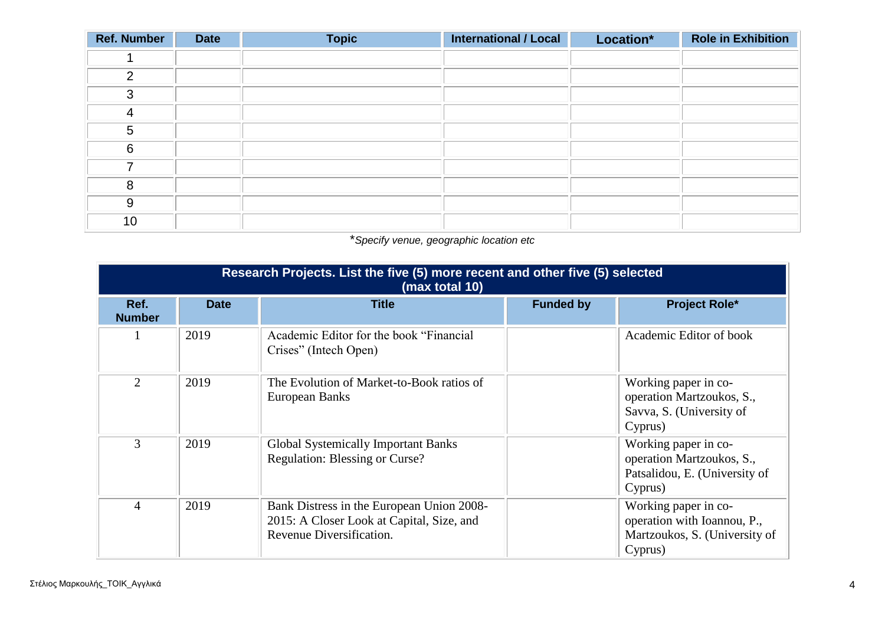| <b>Ref. Number</b> | <b>Date</b> | <b>Topic</b> | <b>International / Local</b> | Location* | <b>Role in Exhibition</b> |
|--------------------|-------------|--------------|------------------------------|-----------|---------------------------|
|                    |             |              |                              |           |                           |
| $\mathcal{P}$      |             |              |                              |           |                           |
| 3                  |             |              |                              |           |                           |
| Δ                  |             |              |                              |           |                           |
| 5                  |             |              |                              |           |                           |
| 6                  |             |              |                              |           |                           |
| 7                  |             |              |                              |           |                           |
| 8                  |             |              |                              |           |                           |
| 9                  |             |              |                              |           |                           |
| 10                 |             |              |                              |           |                           |

\**Specify venue, geographic location etc*

|                       | Research Projects. List the five (5) more recent and other five (5) selected<br>(max total 10) |                                                                                                                    |                  |                                                                                                 |  |  |
|-----------------------|------------------------------------------------------------------------------------------------|--------------------------------------------------------------------------------------------------------------------|------------------|-------------------------------------------------------------------------------------------------|--|--|
| Ref.<br><b>Number</b> | <b>Date</b>                                                                                    | <b>Title</b>                                                                                                       | <b>Funded by</b> | <b>Project Role*</b>                                                                            |  |  |
|                       | 2019                                                                                           | Academic Editor for the book "Financial"<br>Crises" (Intech Open)                                                  |                  | Academic Editor of book                                                                         |  |  |
| 2                     | 2019                                                                                           | The Evolution of Market-to-Book ratios of<br>European Banks                                                        |                  | Working paper in co-<br>operation Martzoukos, S.,<br>Savva, S. (University of<br>Cyprus)        |  |  |
| 3                     | 2019                                                                                           | <b>Global Systemically Important Banks</b><br><b>Regulation: Blessing or Curse?</b>                                |                  | Working paper in co-<br>operation Martzoukos, S.,<br>Patsalidou, E. (University of<br>Cyprus)   |  |  |
| $\overline{4}$        | 2019                                                                                           | Bank Distress in the European Union 2008-<br>2015: A Closer Look at Capital, Size, and<br>Revenue Diversification. |                  | Working paper in co-<br>operation with Ioannou, P.,<br>Martzoukos, S. (University of<br>Cyprus) |  |  |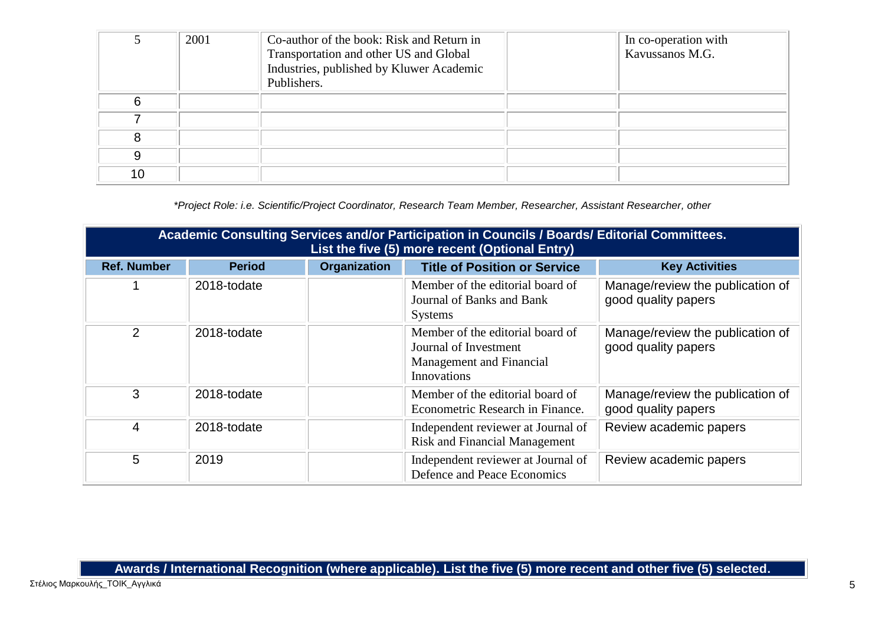|    | 2001 | Co-author of the book: Risk and Return in<br>Transportation and other US and Global<br>Industries, published by Kluwer Academic<br>Publishers. | In co-operation with<br>Kavussanos M.G. |
|----|------|------------------------------------------------------------------------------------------------------------------------------------------------|-----------------------------------------|
| 6  |      |                                                                                                                                                |                                         |
|    |      |                                                                                                                                                |                                         |
|    |      |                                                                                                                                                |                                         |
| 9  |      |                                                                                                                                                |                                         |
| 10 |      |                                                                                                                                                |                                         |

*\*Project Role: i.e. Scientific/Project Coordinator, Research Team Member, Researcher, Assistant Researcher, other*

| Academic Consulting Services and/or Participation in Councils / Boards/ Editorial Committees.<br>List the five (5) more recent (Optional Entry) |               |                     |                                                                                                             |                                                         |  |
|-------------------------------------------------------------------------------------------------------------------------------------------------|---------------|---------------------|-------------------------------------------------------------------------------------------------------------|---------------------------------------------------------|--|
| <b>Ref. Number</b>                                                                                                                              | <b>Period</b> | <b>Organization</b> | <b>Title of Position or Service</b>                                                                         | <b>Key Activities</b>                                   |  |
|                                                                                                                                                 | 2018-todate   |                     | Member of the editorial board of<br>Journal of Banks and Bank<br><b>Systems</b>                             | Manage/review the publication of<br>good quality papers |  |
| 2                                                                                                                                               | 2018-todate   |                     | Member of the editorial board of<br>Journal of Investment<br>Management and Financial<br><b>Innovations</b> | Manage/review the publication of<br>good quality papers |  |
| 3                                                                                                                                               | 2018-todate   |                     | Member of the editorial board of<br>Econometric Research in Finance.                                        | Manage/review the publication of<br>good quality papers |  |
| $\overline{4}$                                                                                                                                  | 2018-todate   |                     | Independent reviewer at Journal of<br><b>Risk and Financial Management</b>                                  | Review academic papers                                  |  |
| 5                                                                                                                                               | 2019          |                     | Independent reviewer at Journal of<br>Defence and Peace Economics                                           | Review academic papers                                  |  |

**Awards / International Recognition (where applicable). List the five (5) more recent and other five (5) selected.**